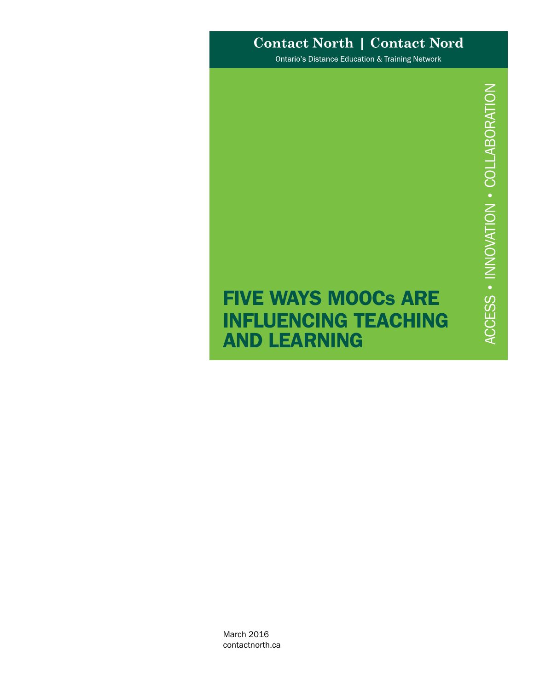# **Contact North | Contact Nord**

Ontario's Distance Education & Training Network

# FIVE WAYS MOOCs ARE INFLUENCING TEACHING AND LEARNING

March 2016 contactnorth.ca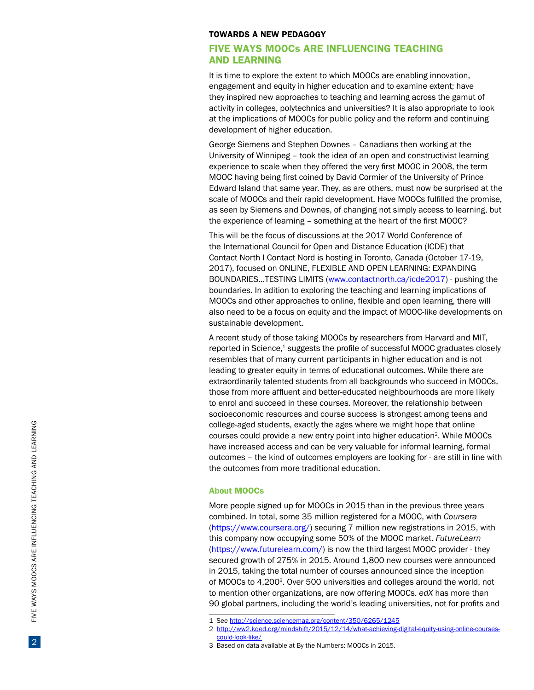#### TOWARDS A NEW PEDAGO G Y

# FIVE WAYS MOOCs ARE INFLUENCING TEACHING AND LEARNING

It is time to explore the extent to which MOOCs are enabling innovation, engagement and equity in higher education and to examine extent; have they inspired new approaches to teaching and learning across the gamut of activity in colleges, polytechnics and universities? It is also appropriate to look at the implications of MOOCs for public policy and the reform and continuing development of higher education.

George Siemens and Stephen Downes – Canadians then working at the University of Winnipeg – took the idea of an open and constructivist learning experience to scale when they offered the very first MOOC in 2008, the term MOOC having being first coined by David Cormier of the University of Prince Edward Island that same year. They, as are others, must now be surprised at the scale of MOOCs and their rapid development. Have MOOCs fulfilled the promise, as seen by Siemens and Downes, of changing not simply access to learning, but the experience of learning – something at the heart of the first MOOC?

This will be the focus of discussions at the 2017 World Conference of the International Council for Open and Distance Education (ICDE) that Contact North I Contact Nord is hosting in Toronto, Canada (October 17-19, 2017), focused on ONLINE, FLEXIBLE AND OPEN LEARNING: EXPANDING BOUNDARIES…TESTING LIMITS ([www.contactnorth.ca/icde2017\)](http://www.contactnorth.ca/icde2017) - pushing the boundaries. In adition to exploring the teaching and learning implications of MOOCs and other approaches to online, flexible and open learning, there will also need to be a focus on equity and the impact of MOOC-like developments on sustainable development.

A recent study of those taking MOOCs by researchers from Harvard and MIT, reported in Science, <sup>1</sup> suggests the profile of successful MOOC graduates closely resembles that of many current participants in higher education and is not leading to greater equity in terms of educational outcomes. While there are extraordinarily talented students from all backgrounds who succeed in MOOCs, those from more affluent and better-educated neighbourhoods are more likely to enrol and succeed in these courses. Moreover, the relationship between socioeconomic resources and course success is strongest among teens and college-aged students, exactly the ages where we might hope that online courses could provide a new entry point into higher education 2. While MOOCs have increased access and can be very valuable for informal learning, formal outcomes – the kind of outcomes employers are looking for - are still in line with the outcomes from more traditional education.

#### About MOOCs

More people signed up for MOOCs in 2015 than in the previous three years combined. In total, some 35 million registered for a MOOC, with *Coursera* (<https://www.coursera.org/>) securing 7 million new registrations in 2015, with this company now occupying some 50% of the MOOC market. *FutureLearn* (<https://www.futurelearn.com/>) is now the third largest MOOC provider - they secured growth of 275% in 2015. Around 1,800 new courses were announced in 2015, taking the total number of courses announced since the inception of MOOCs to 4,200 3. Over 500 universities and colleges around the world, not to mention other organizations, are now offering MOOCs. *edX* has more than 90 global partners, including the world's leading universities, not for profits and

<sup>1</sup> See <http://science.sciencemag.org/content/350/6265/1245>

<sup>2</sup> [http://ww2.kqed.org/mindshift/2015/12/14/what-achieving-digital-equity-using-online-courses](http://ww2.kqed.org/mindshift/2015/12/14/what-achieving-digital-equity-using-online-courses-could-look-like/)[could-look-like/](http://ww2.kqed.org/mindshift/2015/12/14/what-achieving-digital-equity-using-online-courses-could-look-like/)

<sup>3</sup> Based on data available at By the Numbers: MOOCs in 2015.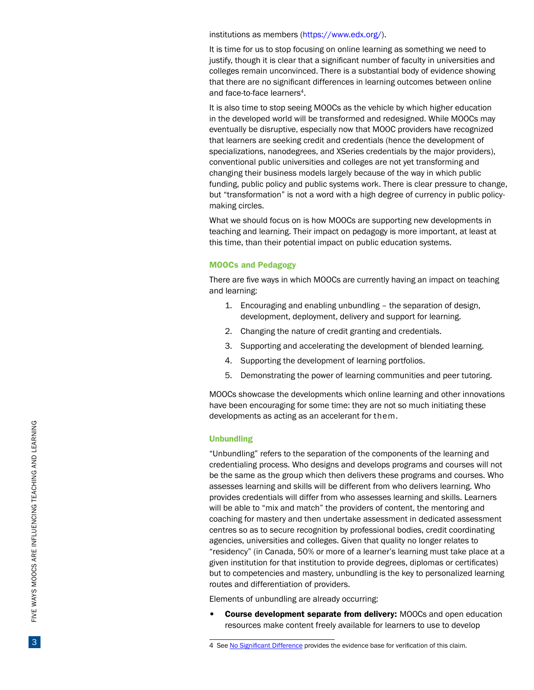institutions as members (<https://www.edx.org/>).

It is time for us to stop focusing on online learning as something we need to justify, though it is clear that a significant number of faculty in universities and colleges remain unconvinced. There is a substantial body of evidence showing that there are no significant differences in learning outcomes between online and face-to-face learners<sup>4</sup>.

It is also time to stop seeing MOOCs as the vehicle by which higher education in the developed world will be transformed and redesigned. While MOOCs may eventually be disruptive, especially now that MOOC providers have recognized that learners are seeking credit and credentials (hence the development of specializations, nanodegrees, and XSeries credentials by the major providers), conventional public universities and colleges are not yet transforming and changing their business models largely because of the way in which public funding, public policy and public systems work. There is clear pressure to change, but "transformation" is not a word with a high degree of currency in public policymaking circles.

What we should focus on is how MOOCs are supporting new developments in teaching and learning. Their impact on pedagogy is more important, at least at this time, than their potential impact on public education systems.

#### MOOCs and Pedagogy

There are five ways in which MOOCs are currently having an impact on teaching and learning:

- 1. Encouraging and enabling unbundling the separation of design, development, deployment, delivery and support for learning.
- 2. Changing the nature of credit granting and credentials.
- 3. Supporting and accelerating the development of blended learning.
- 4. Supporting the development of learning portfolios.
- 5. Demonstrating the power of learning communities and peer tutoring.

MOOCs showcase the developments which online learning and other innovations have been encouraging for some time: they are not so much initiating these developments as acting as an accelerant for them.

#### Unbundling

"Unbundling" refers to the separation of the components of the learning and credentialing process. Who designs and develops programs and courses will not be the same as the group which then delivers these programs and courses. Who assesses learning and skills will be different from who delivers learning. Who provides credentials will differ from who assesses learning and skills. Learners will be able to "mix and match" the providers of content, the mentoring and coaching for mastery and then undertake assessment in dedicated assessment centres so as to secure recognition by professional bodies, credit coordinating agencies, universities and colleges. Given that quality no longer relates to "residency" (in Canada, 50% or more of a learner's learning must take place at a given institution for that institution to provide degrees, diplomas or certificates) but to competencies and mastery, unbundling is the key to personalized learning routes and differentiation of providers.

Elements of unbundling are already occurring:

• Course development separate from delivery: MOOCs and open education resources make content freely available for learners to use to develop

<sup>4</sup> See [No Significant Difference](http://www.nosignificantdifference.org/) provides the evidence base for verification of this claim.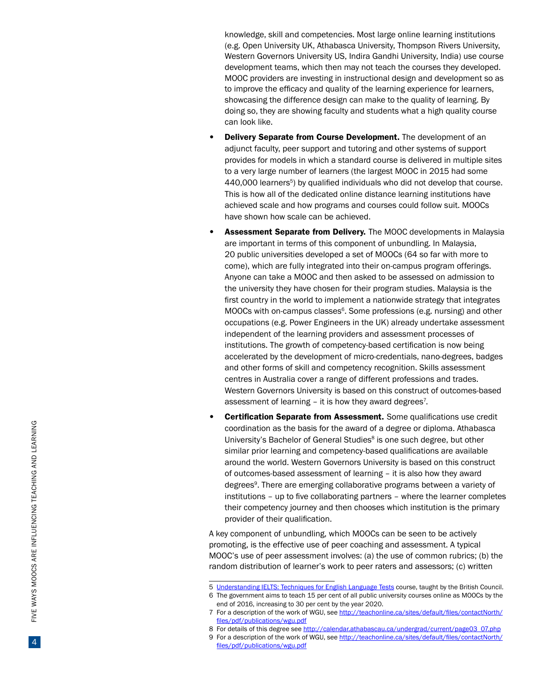knowledge, skill and competencies. Most large online learning institutions (e.g. Open University UK, Athabasca University, Thompson Rivers University, Western Governors University US, Indira Gandhi University, India) use course development teams, which then may not teach the courses they developed. MOOC providers are investing in instructional design and development so as to improve the efficacy and quality of the learning experience for learners, showcasing the difference design can make to the quality of learning. By doing so, they are showing faculty and students what a high quality course can look like.

- Delivery Separate from Course Development. The development of an adjunct faculty, peer support and tutoring and other systems of support provides for models in which a standard course is delivered in multiple sites to a very large number of learners (the largest MOOC in 2015 had some 440,000 learners <sup>5</sup>) by qualified individuals who did not develop that course. This is how all of the dedicated online distance learning institutions have achieved scale and how programs and courses could follow suit. MOOCs have shown how scale can be achieved.
- Assessment Separate from Delivery. The MOOC developments in Malaysia are important in terms of this component of unbundling. In Malaysia, 20 public universities developed a set of MOOCs (64 so far with more to come), which are fully integrated into their on-campus program offerings. Anyone can take a MOOC and then asked to be assessed on admission to the university they have chosen for their program studies. Malaysia is the first country in the world to implement a nationwide strategy that integrates MOOCs with on-campus classes 6. Some professions (e.g. nursing) and other occupations (e.g. Power Engineers in the UK) already undertake assessment independent of the learning providers and assessment processes of institutions. The growth of competency-based certification is now being accelerated by the development of micro-credentials, nano-degrees, badges and other forms of skill and competency recognition. Skills assessment centres in Australia cover a range of different professions and trades. Western Governors University is based on this construct of outcomes-based assessment of learning - it is how they award degrees<sup>7</sup>.
- Certification Separate from Assessment. Some qualifications use credit coordination as the basis for the award of a degree or diploma. Athabasca University's Bachelor of General Studies <sup>8</sup> is one such degree, but other similar prior learning and competency-based qualifications are available around the world. Western Governors University is based on this construct of outcomes-based assessment of learning – it is also how they award degrees 9. There are emerging collaborative programs between a variety of institutions – up to five collaborating partners – where the learner completes their competency journey and then chooses which institution is the primary provider of their qualification.

A key component of unbundling, which MOOCs can be seen to be actively promoting, is the effective use of peer coaching and assessment. A typical MOOC's use of peer assessment involves: (a) the use of common rubrics; (b) the random distribution of learner's work to peer raters and assessors; (c) written<br>
5 Understanding IELTS: Techniques for English Language Tests course, taught by the British Council.

- 
- 6 The government aims to teach 15 per cent of all public university courses online as MOOCs by the end of 2016, increasing to 30 per cent by the year 2020.

<sup>7</sup>  For a description of the work of WGU, see [http://teachonline.ca/sites/default/files/contactNorth/](http://teachonline.ca/sites/default/files/contactNorth/files/pdf/publications/wgu.pdf) [files/pdf/publications/wgu.pdf](http://teachonline.ca/sites/default/files/contactNorth/files/pdf/publications/wgu.pdf)

<sup>8</sup> For details of this degree see http://calendar.athabascau.ca/undergrad/current/page03\_07.php

<sup>9</sup>  For a description of the work of WGU, see [http://teachonline.ca/sites/default/files/contactNorth/](http://teachonline.ca/sites/default/files/contactNorth/files/pdf/publications/wgu.pdf) [files/pdf/publications/wgu.pdf](http://teachonline.ca/sites/default/files/contactNorth/files/pdf/publications/wgu.pdf)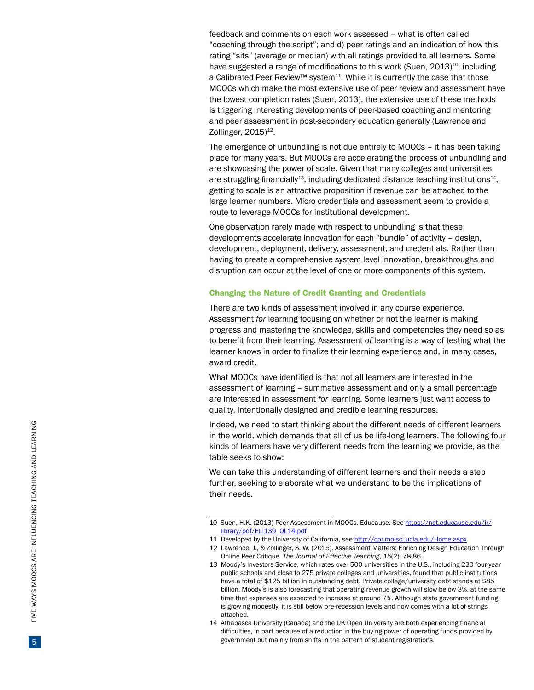feedback and comments on each work assessed – what is often called "coaching through the script"; and d) peer ratings and an indication of how this rating "sits" (average or median) with all ratings provided to all learners. Some have suggested a range of modifications to this work (Suen,  $2013$ )<sup>10</sup>, including a Calibrated Peer Review™ system<sup>11</sup>. While it is currently the case that those MOOCs which make the most extensive use of peer review and assessment have the lowest completion rates (Suen, 2013), the extensive use of these methods is triggering interesting developments of peer-based coaching and mentoring and peer assessment in post-secondary education generally (Lawrence and Zollinger, 2015)<sup>12</sup>.

The emergence of unbundling is not due entirely to MOOCs – it has been taking place for many years. But MOOCs are accelerating the process of unbundling and are showcasing the power of scale. Given that many colleges and universities are struggling financially<sup>13</sup>, including dedicated distance teaching institutions<sup>14</sup>, getting to scale is an attractive proposition if revenue can be attached to the large learner numbers. Micro credentials and assessment seem to provide a route to leverage MOOCs for institutional development.

One observation rarely made with respect to unbundling is that these developments accelerate innovation for each "bundle" of activity – design, development, deployment, delivery, assessment, and credentials. Rather than having to create a comprehensive system level innovation, breakthroughs and disruption can occur at the level of one or more components of this system.

## Changing the Nature of Credit Granting and Credentials

There are two kinds of assessment involved in any course experience. Assessment *for* learning focusing on whether or not the learner is making progress and mastering the knowledge, skills and competencies they need so as to benefit from their learning. Assessment *of* learning is a way of testing what the learner knows in order to finalize their learning experience and, in many cases, award credit.

What MOOCs have identified is that not all learners are interested in the assessment *of* learning – summative assessment and only a small percentage are interested in assessment *for* learning. Some learners just want access to quality, intentionally designed and credible learning resources.

Indeed, we need to start thinking about the different needs of different learners in the world, which demands that all of us be life-long learners. The following four kinds of learners have very different needs from the learning we provide, as the table seeks to show:

We can take this understanding of different learners and their needs a step further, seeking to elaborate what we understand to be the implications of their needs.

<sup>10</sup> Suen, H.K. (2013) Peer Assessment in MOOCs. Educause. See https://net.educause.edu/ir/ library/pdf/ELI139\_OL14.pdf

<sup>11</sup> Developed by the University of California, see http://cpr.molsci.ucla.edu/Home.aspx

<sup>12</sup> Lawrence, J., & Zollinger, S. W. (2015). Assessment Matters: Enriching Design Education Through Online Peer Critique. *The Journal of Effective Teaching* , *15*(2), 78-86.

<sup>13</sup> Moody's Investors Service, which rates over 500 universities in the U.S., including 230 four-year public schools and close to 275 private colleges and universities, found that public institutions have a total of \$125 billion in outstanding debt. Private college/university debt stands at \$85 billion. Moody's is also forecasting that operating revenue growth will slow below 3%, at the same time that expenses are expected to increase at around 7%. Although state government funding is growing modestly, it is still below pre-recession levels and now comes with a lot of strings attached.

<sup>14</sup> Athabasca University (Canada) and the UK Open University are both experiencing financial difficulties, in part because of a reduction in the buying power of operating funds provided by government but mainly from shifts in the pattern of student registrations.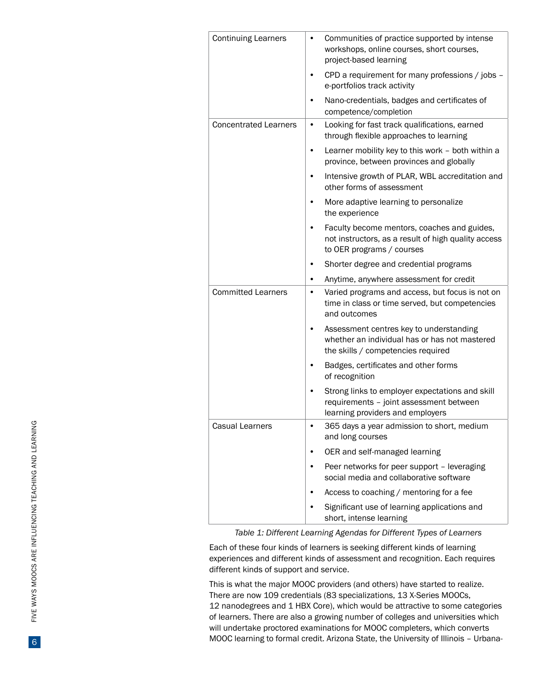| <b>Continuing Learners</b>   | Communities of practice supported by intense<br>٠<br>workshops, online courses, short courses,<br>project-based learning             |
|------------------------------|--------------------------------------------------------------------------------------------------------------------------------------|
|                              | CPD a requirement for many professions / jobs -<br>٠<br>e-portfolios track activity                                                  |
|                              | Nano-credentials, badges and certificates of<br>٠<br>competence/completion                                                           |
| <b>Concentrated Learners</b> | Looking for fast track qualifications, earned<br>٠<br>through flexible approaches to learning                                        |
|                              | Learner mobility key to this work - both within a<br>province, between provinces and globally                                        |
|                              | Intensive growth of PLAR, WBL accreditation and<br>٠<br>other forms of assessment                                                    |
|                              | More adaptive learning to personalize<br>٠<br>the experience                                                                         |
|                              | Faculty become mentors, coaches and guides,<br>٠<br>not instructors, as a result of high quality access<br>to OER programs / courses |
|                              | Shorter degree and credential programs<br>٠                                                                                          |
|                              | Anytime, anywhere assessment for credit<br>٠                                                                                         |
| <b>Committed Learners</b>    | Varied programs and access, but focus is not on<br>٠<br>time in class or time served, but competencies<br>and outcomes               |
|                              | Assessment centres key to understanding<br>٠<br>whether an individual has or has not mastered<br>the skills / competencies required  |
|                              | Badges, certificates and other forms<br>of recognition                                                                               |
|                              | Strong links to employer expectations and skill<br>requirements - joint assessment between<br>learning providers and employers       |
| <b>Casual Learners</b>       | 365 days a year admission to short, medium<br>٠<br>and long courses                                                                  |
|                              | OER and self-managed learning<br>٠                                                                                                   |
|                              | Peer networks for peer support - leveraging<br>٠<br>social media and collaborative software                                          |
|                              | Access to coaching / mentoring for a fee                                                                                             |
|                              | Significant use of learning applications and<br>short, intense learning                                                              |

*Table 1: Different Learning Agendas for Different Types of Learners*

Each of these four kinds of learners is seeking different kinds of learning experiences and different kinds of assessment and recognition. Each requires different kinds of support and service.

This is what the major MOOC providers (and others) have started to realize. There are now 109 credentials (83 specializations, 13 X-Series MOOCs, 12 nanodegrees and 1 HBX Core), which would be attractive to some categories of learners. There are also a growing number of colleges and universities which will undertake proctored examinations for MOOC completers, which converts MOOC learning to formal credit. Arizona State, the University of Illinois – Urbana-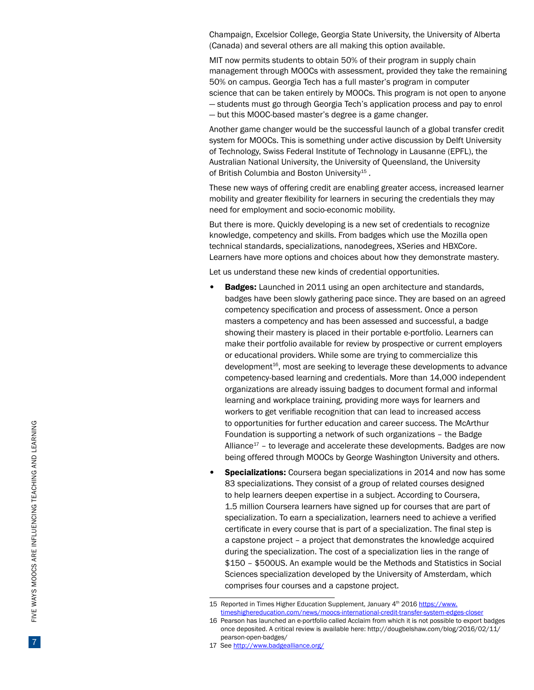Champaign, Excelsior College, Georgia State University, the University of Alberta (Canada) and several others are all making this option available.

MIT now permits students to obtain 50% of their program in supply chain management through MOOCs with assessment, provided they take the remaining 50% on campus. Georgia Tech has a full master's program in computer science that can be taken entirely by MOOCs. This program is not open to anyone — students must go through Georgia Tech's application process and pay to enrol — but this MOOC-based master's degree is a game changer.

Another game changer would be the successful launch of a global transfer credit system for MOOCs. This is something under active discussion by Delft University of Technology, Swiss Federal Institute of Technology in Lausanne ([EPFL\)](https://www.epfl.ch/), the Australian National University, the University of Queensland, the University of British Columbia and Boston University15 *.* 

These new ways of offering credit are enabling greater access, increased learner mobility and greater flexibility for learners in securing the credentials they may need for employment and socio-economic mobility.

But there is more. Quickly developing is a new set of credentials to recognize knowledge, competency and skills. From badges which use the Mozilla open technical standards, specializations, nanodegrees, XSeries and HBXCore. Learners have more options and choices about how they demonstrate mastery.

Let us understand these new kinds of credential opportunities.

- Badges: Launched in 2011 using an open architecture and standards, badges have been slowly gathering pace since. They are based on an agreed competency specification and process of assessment. Once a person masters a competency and has been assessed and successful, a badge showing their mastery is placed in their portable e-portfolio. Learners can make their portfolio available for review by prospective or current employers or educational providers. While some are trying to commercialize this development $16$ , most are seeking to leverage these developments to advance competency-based learning and credentials. More than 14,000 independent organizations are already issuing badges to document formal and informal learning and workplace training, providing more ways for learners and workers to get verifiable recognition that can lead to increased access to opportunities for further education and career success. The McArthur Foundation is supporting a network of such organizations – the Badge Alliance $17$  – to leverage and accelerate these developments. Badges are now being offered through MOOCs by George Washington University and others.
- Specializations: Coursera began specializations in 2014 and now has some 83 specializations. They consist of a group of related courses designed to help learners deepen expertise in a subject. According to Coursera, 1.5 million Coursera learners have signed up for courses that are part of specialization. To earn a specialization, learners need to achieve a verified certificate in every course that is part of a specialization. The final step is a capstone project – a project that demonstrates the knowledge acquired during the specialization. The cost of a specialization lies in the range of \$150 – \$500US. An example would be the Methods and Statistics in Social Sciences specialization developed by the University of Amsterdam, which comprises four courses and a capstone project.

<sup>15</sup> Reported in Times Higher Education Supplement, January 4<sup>th</sup> 2016 [https://www.](https://www.timeshighereducation.com/news/moocs-international-credit-transfer-system-edges-closer) [timeshighereducation.com/news/moocs-international-credit-transfer-system-edges-closer](https://www.timeshighereducation.com/news/moocs-international-credit-transfer-system-edges-closer)

<sup>16</sup>  Pearson has launched an e-portfolio called Acclaim from which it is not possible to export badges once deposited. A critical review is available here: http://dougbelshaw.com/blog/2016/02/11/ pearson-open-badges/

<sup>17</sup> See <http://www.badgealliance.org/>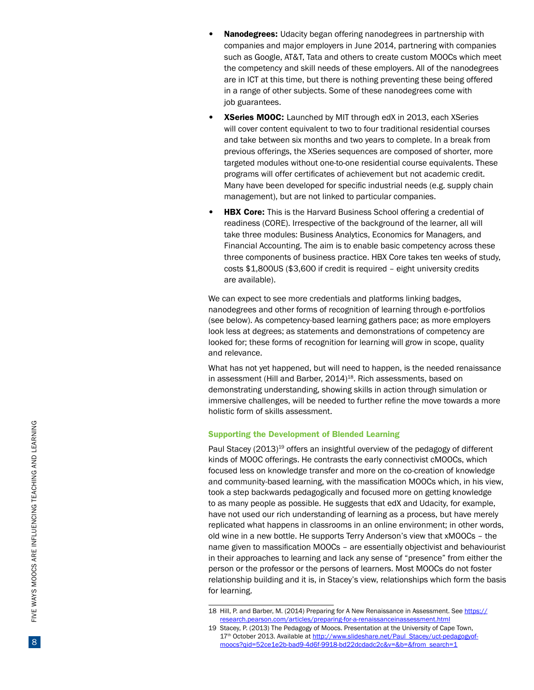- Nanodegrees: Udacity began offering nanodegrees in partnership with companies and major employers in June 2014, partnering with companies such as Google, AT&T, Tata and others to create custom MOOCs which meet the competency and skill needs of these employers. All of the nanodegrees are in ICT at this time, but there is nothing preventing these being offered in a range of other subjects. Some of these nanodegrees come with job guarantees.
- **XSeries MOOC:** Launched by MIT through edX in 2013, each XSeries will cover content equivalent to two to four traditional residential courses and take between six months and two years to complete. In a break from previous offerings, the XSeries sequences are composed of shorter, more targeted modules without one-to-one residential course equivalents. These programs will offer certificates of achievement but not academic credit. Many have been developed for specific industrial needs (e.g. supply chain management), but are not linked to particular companies.
- **HBX Core:** This is the Harvard Business School offering a credential of readiness (CORE). Irrespective of the background of the learner, all will take three modules: Business Analytics, Economics for Managers, and Financial Accounting. The aim is to enable basic competency across these three components of business practice. HBX Core takes ten weeks of study, costs \$1,800US (\$3,600 if credit is required – eight university credits are available).

We can expect to see more credentials and platforms linking badges, nanodegrees and other forms of recognition of learning through e-portfolios (see below). As competency-based learning gathers pace; as more employers look less at degrees; as statements and demonstrations of competency are looked for; these forms of recognition for learning will grow in scope, quality and relevance.

What has not yet happened, but will need to happen, is the needed renaissance in assessment (Hill and Barber, 2014)<sup>18</sup>. Rich assessments, based on demonstrating understanding, showing skills in action through simulation or immersive challenges, will be needed to further refine the move towards a more holistic form of skills assessment.

#### Supporting the Development of Blended Learning

Paul Stacey (2013)<sup>19</sup> offers an insightful overview of the pedagogy of different kinds of MOOC offerings. He contrasts the early connectivist cMOOCs, which focused less on knowledge transfer and more on the co-creation of knowledge and community-based learning, with the massification MOOCs which, in his view, took a step backwards pedagogically and focused more on getting knowledge to as many people as possible. He suggests that edX and Udacity, for example, have not used our rich understanding of learning as a process, but have merely replicated what happens in classrooms in an online environment; in other words, old wine in a new bottle. He supports Terry Anderson's view that xMOOCs – the name given to massification MOOCs – are essentially objectivist and behaviourist in their approaches to learning and lack any sense of "presence" from either the person or the professor or the persons of learners. Most MOOCs do not foster relationship building and it is, in Stacey's view, relationships which form the basis for learning.

<sup>18</sup> Hill, P. and Barber, M. (2014) Preparing for A New Renaissance in Assessment. See [https://](https://research.pearson.com/articles/preparing-for-a-renaissanceinassessment.html) [research.pearson.com/articles/preparing-for-a-renaissanceinassessment.html](https://research.pearson.com/articles/preparing-for-a-renaissanceinassessment.html)

<sup>19</sup> Stacey, P. (2013) The Pedagogy of Moocs. Presentation at the University of Cape Town, 17<sup>th</sup> October 2013. Available at [http://www.slideshare.net/Paul\\_Stacey/uct-pedagogyof](http://www.slideshare.net/Paul_Stacey/uct-pedagogyof-moocs?qid=52ce1e2b-bad9-4d6f-9918-bd22dcdadc2c&v=&b=&from_search=1)[moocs?qid=52ce1e2b-bad9-4d6f-9918-bd22dcdadc2c&v=&b=&from\\_search=1](http://www.slideshare.net/Paul_Stacey/uct-pedagogyof-moocs?qid=52ce1e2b-bad9-4d6f-9918-bd22dcdadc2c&v=&b=&from_search=1)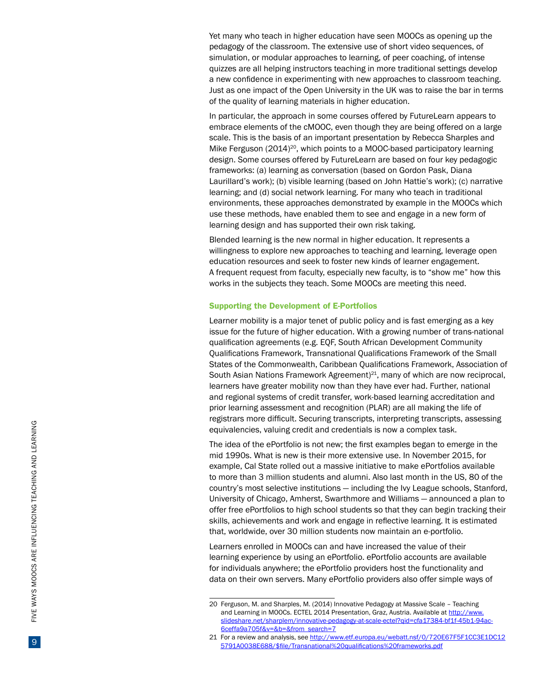Yet many who teach in higher education have seen MOOCs as opening up the pedagogy of the classroom. The extensive use of short video sequences, of simulation, or modular approaches to learning, of peer coaching, of intense quizzes are all helping instructors teaching in more traditional settings develop a new confidence in experimenting with new approaches to classroom teaching. Just as one impact of the Open University in the UK was to raise the bar in terms of the quality of learning materials in higher education.

In particular, the approach in some courses offered by FutureLearn appears to embrace elements of the cMOOC, even though they are being offered on a large scale. This is the basis of an important presentation by Rebecca Sharples and Mike Ferguson (2014)<sup>20</sup>, which points to a MOOC-based participatory learning design. Some courses offered by FutureLearn are based on four key pedagogic frameworks: (a) learning as conversation (based on Gordon Pask, Diana Laurillard's work); (b) visible learning (based on John Hattie's work); (c) narrative learning; and (d) social network learning. For many who teach in traditional environments, these approaches demonstrated by example in the MOOCs which use these methods, have enabled them to see and engage in a new form of learning design and has supported their own risk taking.

Blended learning is the new normal in higher education. It represents a willingness to explore new approaches to teaching and learning, leverage open education resources and seek to foster new kinds of learner engagement. A frequent request from faculty, especially new faculty, is to "show me" how this works in the subjects they teach. Some MOOCs are meeting this need.

#### Supporting the Development of E-Portfolios

Learner mobility is a major tenet of public policy and is fast emerging as a key issue for the future of higher education. With a growing number of trans-national qualification agreements (e.g. EQF, South African Development Community Qualifications Framework, Transnational Qualifications Framework of the Small States of the Commonwealth, Caribbean Qualifications Framework, Association of South Asian Nations Framework Agreement)<sup>21</sup>, many of which are now reciprocal, learners have greater mobility now than they have ever had. Further, national and regional systems of credit transfer, work-based learning accreditation and prior learning assessment and recognition (PLAR) are all making the life of registrars more difficult. Securing transcripts, interpreting transcripts, assessing equivalencies, valuing credit and credentials is now a complex task.

The idea of the ePortfolio is not new; the first examples began to emerge in the mid 1990s. What is new is their more extensive use. In November 2015, for example, Cal State rolled out a [massive initiative](https://campustechnology.com/articles/2015/10/19/california-state-university-system-makes-e-portfolios-available-to-all-students-and-alumni.aspx) to make ePortfolios available to more than 3 million students and alumni. Also last month in the US, 80 of the country's most selective institutions — including the Ivy League schools, Stanford, University of Chicago, Amherst, Swarthmore and Williams — announced a plan to offer free ePortfolios to high school students so that they can begin tracking their skills, achievements and work and engage in reflective learning. It is estimated that, worldwide, over 30 million students now maintain an e-portfolio.

Learners enrolled in MOOCs can and have increased the value of their learning experience by using an ePortfolio. ePortfolio accounts are available for individuals anywhere; the ePortfolio providers host the functionality and data on their own servers. Many ePortfolio providers also offer simple ways of

<sup>20</sup>  Ferguson, M. and Sharples, M. (2014) Innovative Pedagogy at Massive Scale – Teaching and Learning in MOOCs. ECTEL 2014 Presentation, Graz, Austria. Available at http://www. slideshare.net/sharplem/innovative-pedagogy-at-scale-ectel?qid=cfa17384-bf1f-45b1-94ac-6ceffa9a705f&v=&b=&from\_search=7

<sup>21</sup> For a review and analysis, see http://www.etf.europa.eu/webatt.nsf/0/720E67F5F1CC3E1DC12 5791A0038E688/\$file/Transnational%20qualifications%20frameworks.pdf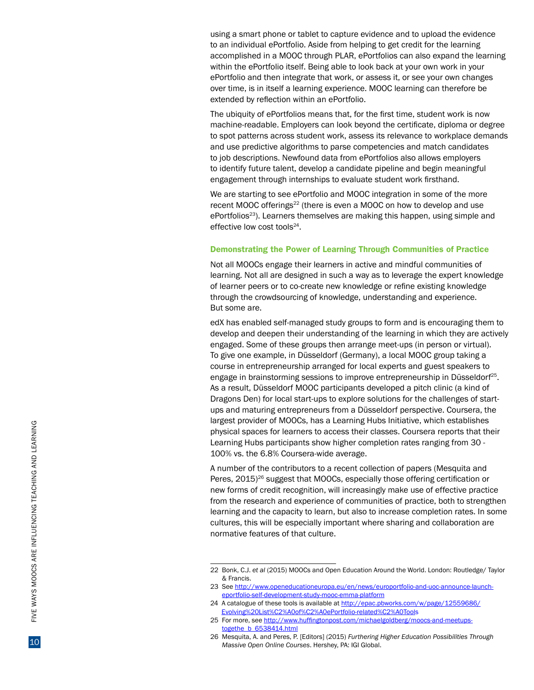using a smart phone or tablet to capture evidence and to upload the evidence to an individual ePortfolio. Aside from helping to get credit for the learning accomplished in a MOOC through PLAR, ePortfolios can also expand the learning within the ePortfolio itself. Being able to look back at your own work in your ePortfolio and then integrate that work, or assess it, or see your own changes over time, is in itself a learning experience. MOOC learning can therefore be extended by reflection within an ePortfolio.

The ubiquity of ePortfolios means that, for the first time, student work is now machine-readable. Employers can look beyond the certificate, diploma or degree to spot patterns across student work, assess its relevance to workplace demands and use predictive algorithms to parse competencies and match candidates to job descriptions. Newfound data from ePortfolios also allows employers to identify future talent, develop a candidate pipeline and begin meaningful engagement through internships to evaluate student work firsthand.

We are starting to see ePortfolio and MOOC integration in some of the more recent MOOC offerings<sup>22</sup> (there is even a MOOC on how to develop and use ePortfolios<sup>23</sup>). Learners themselves are making this happen, using simple and effective low cost tools<sup>24</sup>.

### Demonstrating the Power of Learning Through Communities of Practice

Not all MOOCs engage their learners in active and mindful communities of learning. Not all are designed in such a way as to leverage the expert knowledge of learner peers or to co-create new knowledge or refine existing knowledge through the crowdsourcing of knowledge, understanding and experience. But some are.

edX has enabled self-managed study groups to form and is encouraging them to develop and deepen their understanding of the learning in which they are actively engaged. Some of these groups then arrange meet-ups (in person or virtual). To give one example, in Düsseldorf (Germany), a local MOOC group taking a course in entrepreneurship arranged for local experts and guest speakers to engage in brainstorming sessions to improve entrepreneurship in Düsseldorf25. As a result, Düsseldorf MOOC participants developed a pitch clinic (a kind of Dragons Den) for local start-ups to explore solutions for the challenges of startups and maturing entrepreneurs from a Düsseldorf perspective. Coursera, the largest provider of MOOCs, has a Learning Hubs Initiative, which establishes physical spaces for learners to access their classes. Coursera reports that their Learning Hubs participants show higher completion rates ranging from 30 - 100% vs. the 6.8% Coursera-wide average.

A number of the contributors to a recent collection of papers (Mesquita and Peres, 2015)<sup>26</sup> suggest that MOOCs, especially those offering certification or new forms of credit recognition, will increasingly make use of effective practice from the research and experience of communities of practice, both to strengthen learning and the capacity to learn, but also to increase completion rates. In some cultures, this will be especially important where sharing and collaboration are normative features of that culture.

24 A catalogue of these tools is available at http://epac.pbworks.com/w/page/12559686/ Evolving%20List%C2%A0of%C2%A0ePortfolio-related%C2%A0Tool s

<sup>22</sup> Bonk, C.J. *et al* (2015) MOOCs and Open Education Around the World. London: Routledge/ Taylor & Francis.

<sup>23</sup> See [http://www.openeducationeuropa.eu/en/news/europortfolio-and-uoc-announce-launch](http://www.openeducationeuropa.eu/en/news/europortfolio-and-uoc-announce-launch-eportfolio-self-development-study-mooc-emma-platform)[eportfolio-self-development-study-mooc-emma-platform](http://www.openeducationeuropa.eu/en/news/europortfolio-and-uoc-announce-launch-eportfolio-self-development-study-mooc-emma-platform)

<sup>25</sup> For more, see [http://www.huffingtonpost.com/michaelgoldberg/moocs-and-meetups](http://www.huffingtonpost.com/michaelgoldberg/moocs-and-meetups-togethe_b_6538414.html)[togethe\\_b\\_6538414.html](http://www.huffingtonpost.com/michaelgoldberg/moocs-and-meetups-togethe_b_6538414.html)

<sup>26</sup> Mesquita, A. and Peres, P. [Editors] (2015) *Furthering Higher Education Possibilities Through Massive Open Online Courses*. Hershey, PA: IGI Global.